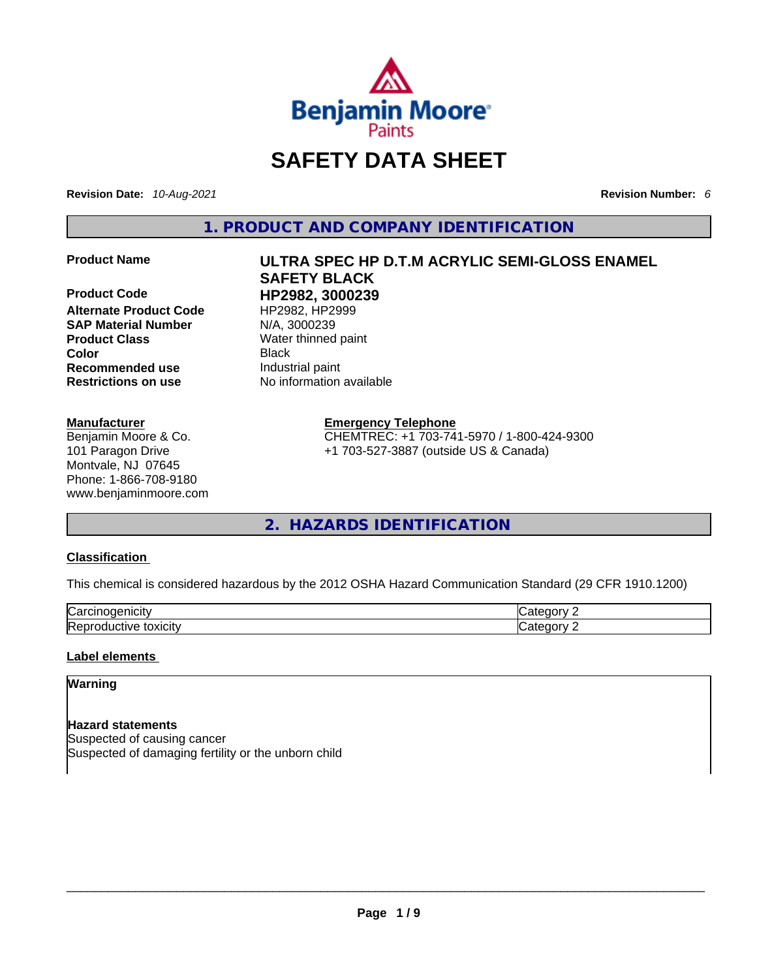

# **SAFETY DATA SHEET**

**Revision Date:** *10-Aug-2021* **Revision Number:** *6*

**1. PRODUCT AND COMPANY IDENTIFICATION** 

**Product Code HP2982, 3000239**  Alternate Product Code HP2982, HP2999 **SAP Material Number** N/A, 3000239 **Product Class Water thinned paint**<br> **Color** Black **Color** Black **Recommended use Industrial paint Restrictions on use** No information available

#### **Manufacturer**

Benjamin Moore & Co. 101 Paragon Drive Montvale, NJ 07645 Phone: 1-866-708-9180 www.benjaminmoore.com

# **Product Name ULTRA SPEC HP D.T.M ACRYLIC SEMI-GLOSS ENAMEL SAFETY BLACK**

#### **Emergency Telephone**

CHEMTREC: +1 703-741-5970 / 1-800-424-9300 +1 703-527-3887 (outside US & Canada)

**2. HAZARDS IDENTIFICATION** 

#### **Classification**

This chemical is considered hazardous by the 2012 OSHA Hazard Communication Standard (29 CFR 1910.1200)

| ∽<br>       |   |
|-------------|---|
| - --<br>. . | ш |

#### **Label elements**

#### **Warning**

**Hazard statements** Suspected of causing cancer Suspected of damaging fertility or the unborn child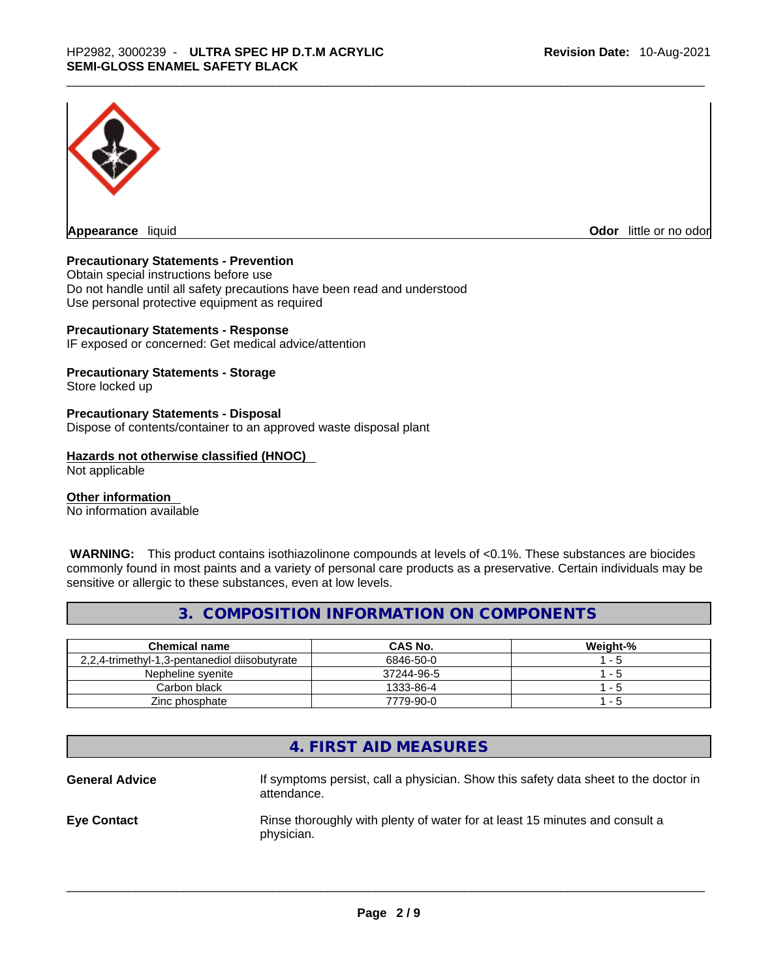

**Appearance** liquid

**Odor** little or no odor

#### **Precautionary Statements - Prevention**

Obtain special instructions before use Do not handle until all safety precautions have been read and understood Use personal protective equipment as required

#### **Precautionary Statements - Response**

IF exposed or concerned: Get medical advice/attention

#### **Precautionary Statements - Storage**

Store locked up

#### **Precautionary Statements - Disposal**

Dispose of contents/container to an approved waste disposal plant

#### **Hazards not otherwise classified (HNOC)**

Not applicable

#### **Other information**

No information available

 **WARNING:** This product contains isothiazolinone compounds at levels of <0.1%. These substances are biocides commonly found in most paints and a variety of personal care products as a preservative. Certain individuals may be sensitive or allergic to these substances, even at low levels.

#### **3. COMPOSITION INFORMATION ON COMPONENTS**

| <b>Chemical name</b>                          | CAS No.    | Weight-% |
|-----------------------------------------------|------------|----------|
| 2,2,4-trimethyl-1,3-pentanediol diisobutyrate | 6846-50-0  | l - 5    |
| Nepheline svenite                             | 37244-96-5 | - 5      |
| Carbon black                                  | 1333-86-4  | 1 - 5    |
| Zinc phosphate                                | 7779-90-0  | -5       |

# **4. FIRST AID MEASURES**

**General Advice** If symptoms persist, calla physician. Show this safety data sheet to the doctor in attendance. **Eye Contact Rinse thoroughly with plenty of water for at least 15 minutes and consult a** physician.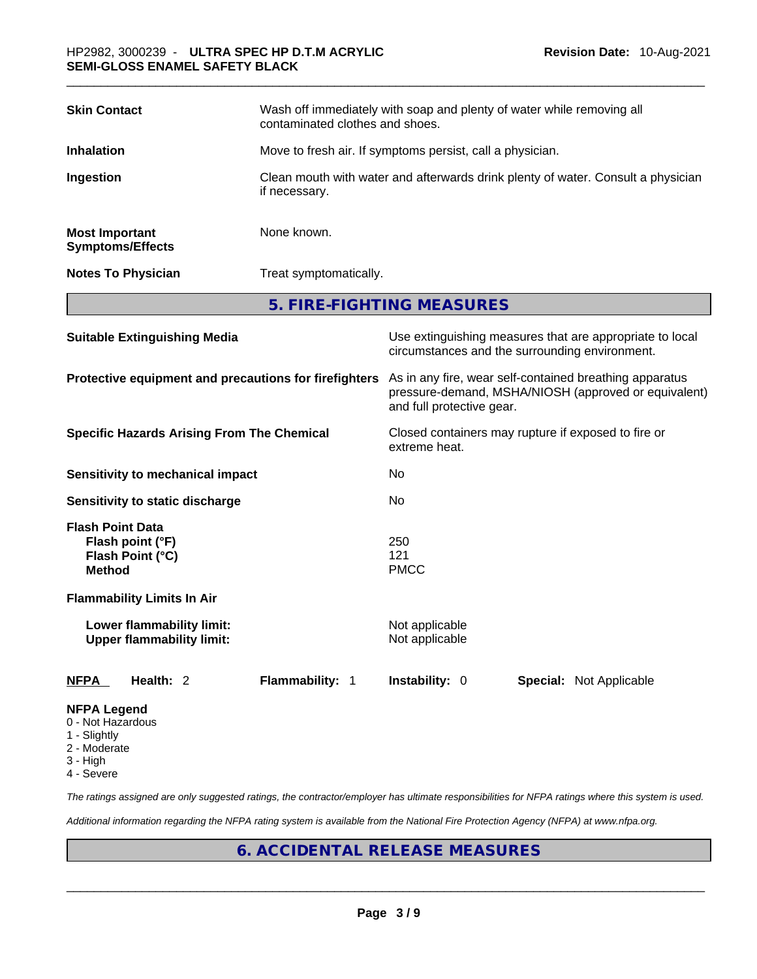| <b>Skin Contact</b>                                                              | Wash off immediately with soap and plenty of water while removing all<br>contaminated clothes and shoes. |                                                                                  |  |                                                                                                                 |
|----------------------------------------------------------------------------------|----------------------------------------------------------------------------------------------------------|----------------------------------------------------------------------------------|--|-----------------------------------------------------------------------------------------------------------------|
| <b>Inhalation</b>                                                                |                                                                                                          | Move to fresh air. If symptoms persist, call a physician.                        |  |                                                                                                                 |
| Ingestion                                                                        | if necessary.                                                                                            | Clean mouth with water and afterwards drink plenty of water. Consult a physician |  |                                                                                                                 |
| <b>Most Important</b><br><b>Symptoms/Effects</b>                                 | None known.                                                                                              |                                                                                  |  |                                                                                                                 |
| <b>Notes To Physician</b>                                                        | Treat symptomatically.                                                                                   |                                                                                  |  |                                                                                                                 |
|                                                                                  |                                                                                                          | 5. FIRE-FIGHTING MEASURES                                                        |  |                                                                                                                 |
| <b>Suitable Extinguishing Media</b>                                              |                                                                                                          | circumstances and the surrounding environment.                                   |  | Use extinguishing measures that are appropriate to local                                                        |
| Protective equipment and precautions for firefighters                            |                                                                                                          | and full protective gear.                                                        |  | As in any fire, wear self-contained breathing apparatus<br>pressure-demand, MSHA/NIOSH (approved or equivalent) |
| <b>Specific Hazards Arising From The Chemical</b>                                |                                                                                                          | Closed containers may rupture if exposed to fire or<br>extreme heat.             |  |                                                                                                                 |
| <b>Sensitivity to mechanical impact</b>                                          |                                                                                                          | No.                                                                              |  |                                                                                                                 |
| Sensitivity to static discharge                                                  |                                                                                                          | No                                                                               |  |                                                                                                                 |
| <b>Flash Point Data</b><br>Flash point (°F)<br>Flash Point (°C)<br><b>Method</b> |                                                                                                          | 250<br>121<br><b>PMCC</b>                                                        |  |                                                                                                                 |
| <b>Flammability Limits In Air</b>                                                |                                                                                                          |                                                                                  |  |                                                                                                                 |
| <b>Lower flammability limit:</b><br><b>Upper flammability limit:</b>             |                                                                                                          | Not applicable<br>Not applicable                                                 |  |                                                                                                                 |
| <b>NFPA</b><br>Health: 2                                                         | Flammability: 1                                                                                          | Instability: 0                                                                   |  | Special: Not Applicable                                                                                         |
| <b>NFPA Legend</b>                                                               |                                                                                                          |                                                                                  |  |                                                                                                                 |

- 0 Not Hazardous
- 1 Slightly
- 2 Moderate
- 3 High
- 4 Severe

*The ratings assigned are only suggested ratings, the contractor/employer has ultimate responsibilities for NFPA ratings where this system is used.* 

*Additional information regarding the NFPA rating system is available from the National Fire Protection Agency (NFPA) at www.nfpa.org.* 

# **6. ACCIDENTAL RELEASE MEASURES**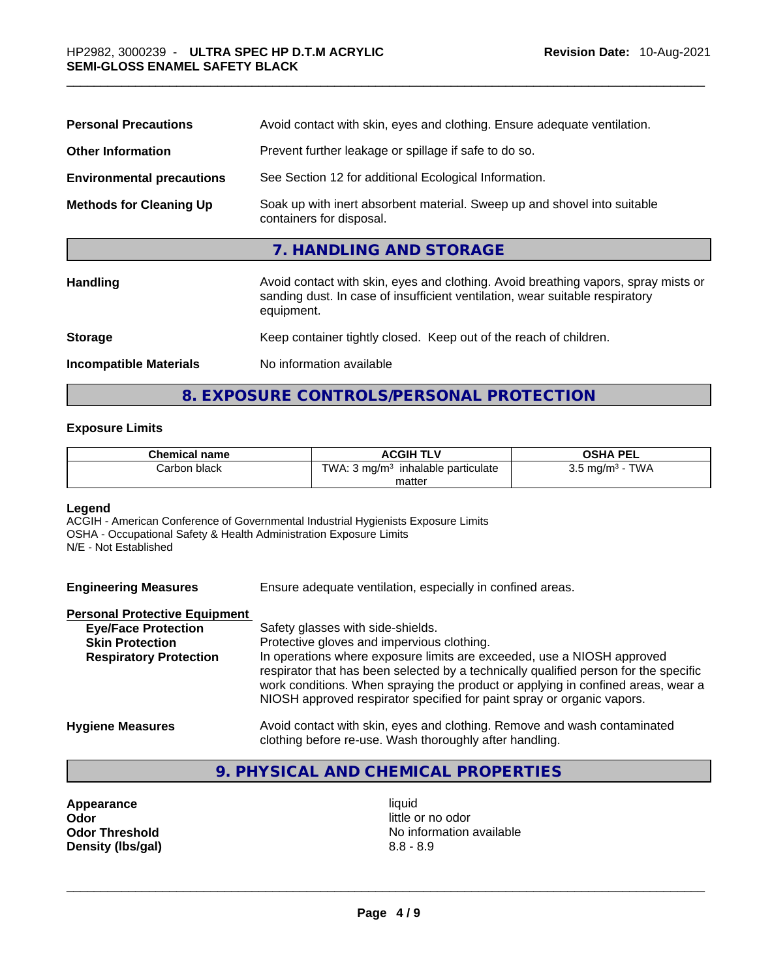| <b>Personal Precautions</b>      | Avoid contact with skin, eyes and clothing. Ensure adequate ventilation.                                                                                                         |
|----------------------------------|----------------------------------------------------------------------------------------------------------------------------------------------------------------------------------|
| <b>Other Information</b>         | Prevent further leakage or spillage if safe to do so.                                                                                                                            |
| <b>Environmental precautions</b> | See Section 12 for additional Ecological Information.                                                                                                                            |
| <b>Methods for Cleaning Up</b>   | Soak up with inert absorbent material. Sweep up and shovel into suitable<br>containers for disposal.                                                                             |
|                                  | 7. HANDLING AND STORAGE                                                                                                                                                          |
| <b>Handling</b>                  | Avoid contact with skin, eyes and clothing. Avoid breathing vapors, spray mists or<br>sanding dust. In case of insufficient ventilation, wear suitable respiratory<br>equipment. |
| <b>Storage</b>                   | Keep container tightly closed. Keep out of the reach of children.                                                                                                                |
| <b>Incompatible Materials</b>    | No information available                                                                                                                                                         |

**8. EXPOSURE CONTROLS/PERSONAL PROTECTION** 

#### **Exposure Limits**

| <b>Chemical name</b> | <b>ACGIH TLV</b>                                   | <b>OSHA PEL</b>                        |
|----------------------|----------------------------------------------------|----------------------------------------|
| Carbon black         | TWA: $3 \text{ mg/m}^3$ .<br>inhalable particulate | <b>TWA</b><br>ma/m <sup>3</sup><br>ບ.ບ |
|                      | matter                                             |                                        |

#### **Legend**

ACGIH - American Conference of Governmental Industrial Hygienists Exposure Limits OSHA - Occupational Safety & Health Administration Exposure Limits N/E - Not Established

| <b>Engineering Measures</b> | Ensure adequate ventilation, especially in confined areas. |
|-----------------------------|------------------------------------------------------------|
|-----------------------------|------------------------------------------------------------|

#### **Personal Protective Equipment**

| <b>Eye/Face Protection</b>    | Safety glasses with side-shields.                                                                                                                                                                                                                                                                                            |
|-------------------------------|------------------------------------------------------------------------------------------------------------------------------------------------------------------------------------------------------------------------------------------------------------------------------------------------------------------------------|
| <b>Skin Protection</b>        | Protective gloves and impervious clothing.                                                                                                                                                                                                                                                                                   |
| <b>Respiratory Protection</b> | In operations where exposure limits are exceeded, use a NIOSH approved<br>respirator that has been selected by a technically qualified person for the specific<br>work conditions. When spraying the product or applying in confined areas, wear a<br>NIOSH approved respirator specified for paint spray or organic vapors. |
| <b>Hygiene Measures</b>       | Avoid contact with skin, eyes and clothing. Remove and wash contaminated                                                                                                                                                                                                                                                     |

clothing before re-use. Wash thoroughly after handling.

### **9. PHYSICAL AND CHEMICAL PROPERTIES**

**Appearance liquid**<br> **Odor** little of

**Odor** little or no odor **Odor Threshold**<br> **Density (Ibs/gal)**<br> **Density (Ibs/gal)**<br> **No information available**<br>  $8.8 - 8.9$ **Density (lbs/gal)** 8.8 - 8.9 \_\_\_\_\_\_\_\_\_\_\_\_\_\_\_\_\_\_\_\_\_\_\_\_\_\_\_\_\_\_\_\_\_\_\_\_\_\_\_\_\_\_\_\_\_\_\_\_\_\_\_\_\_\_\_\_\_\_\_\_\_\_\_\_\_\_\_\_\_\_\_\_\_\_\_\_\_\_\_\_\_\_\_\_\_\_\_\_\_\_\_\_\_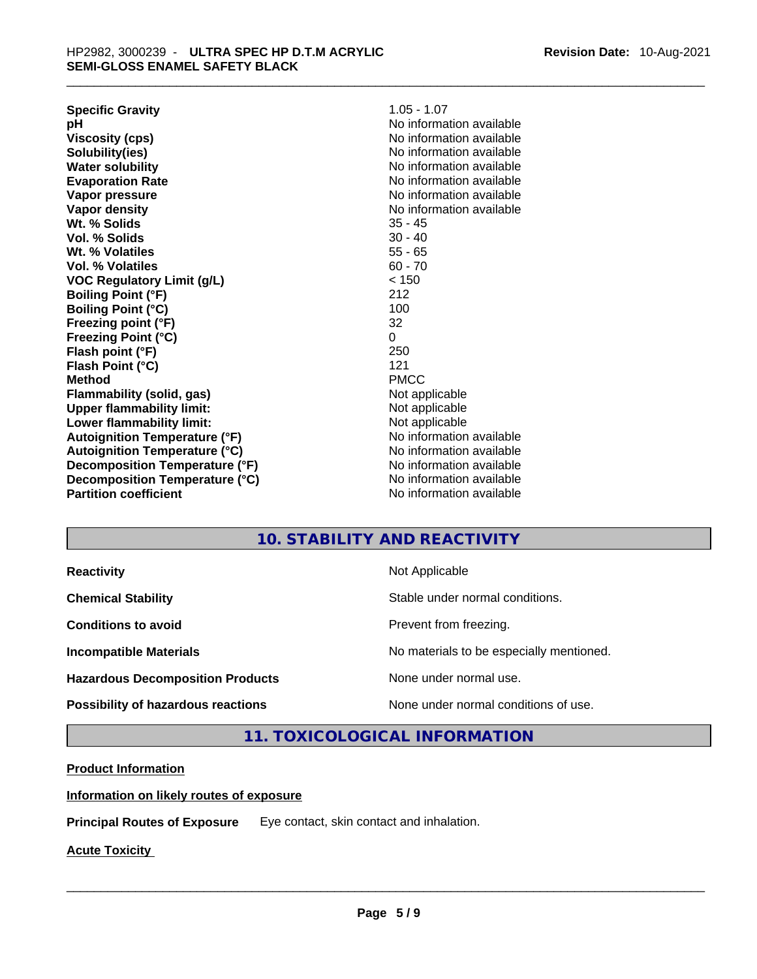| <b>Specific Gravity</b>              | $1.05 - 1.07$            |
|--------------------------------------|--------------------------|
| рH                                   | No information available |
| <b>Viscosity (cps)</b>               | No information available |
| Solubility(ies)                      | No information available |
| <b>Water solubility</b>              | No information available |
| <b>Evaporation Rate</b>              | No information available |
| Vapor pressure                       | No information available |
| Vapor density                        | No information available |
| Wt. % Solids                         | $35 - 45$                |
| Vol. % Solids                        | $30 - 40$                |
| Wt. % Volatiles                      | $55 - 65$                |
| Vol. % Volatiles                     | $60 - 70$                |
| <b>VOC Regulatory Limit (g/L)</b>    | < 150                    |
| <b>Boiling Point (°F)</b>            | 212                      |
| <b>Boiling Point (°C)</b>            | 100                      |
| Freezing point (°F)                  | 32                       |
| <b>Freezing Point (°C)</b>           | 0                        |
| Flash point (°F)                     | 250                      |
| Flash Point (°C)                     | 121                      |
| <b>Method</b>                        | <b>PMCC</b>              |
| Flammability (solid, gas)            | Not applicable           |
| <b>Upper flammability limit:</b>     | Not applicable           |
| Lower flammability limit:            | Not applicable           |
| <b>Autoignition Temperature (°F)</b> | No information available |
| <b>Autoignition Temperature (°C)</b> | No information available |
| Decomposition Temperature (°F)       | No information available |
| Decomposition Temperature (°C)       | No information available |
| <b>Partition coefficient</b>         | No information available |

# **10. STABILITY AND REACTIVITY**

| <b>Reactivity</b> |  |
|-------------------|--|
|                   |  |

**Hazardous Decomposition Products** None under normal use.

**Not Applicable** 

**Chemical Stability Chemical Stability** Stable under normal conditions.

**Conditions to avoid Conditions to avoid Prevent from freezing.** 

**Incompatible Materials Materials Materials No materials to be especially mentioned.** 

**Possibility of hazardous reactions** None under normal conditions of use.

**11. TOXICOLOGICAL INFORMATION** 

#### **Product Information**

#### **Information on likely routes of exposure**

**Principal Routes of Exposure** Eye contact, skin contact and inhalation.

**Acute Toxicity**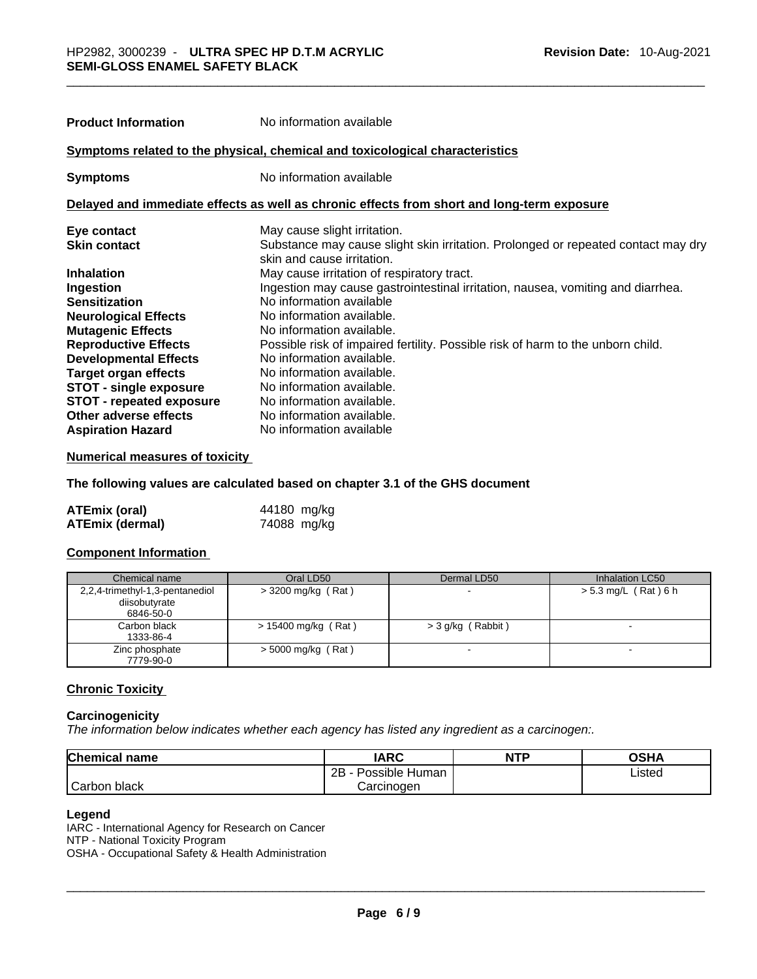| <b>Product Information</b>      | No information available                                                                                        |
|---------------------------------|-----------------------------------------------------------------------------------------------------------------|
|                                 | Symptoms related to the physical, chemical and toxicological characteristics                                    |
| <b>Symptoms</b>                 | No information available                                                                                        |
|                                 | Delayed and immediate effects as well as chronic effects from short and long-term exposure                      |
| Eye contact                     | May cause slight irritation.                                                                                    |
| <b>Skin contact</b>             | Substance may cause slight skin irritation. Prolonged or repeated contact may dry<br>skin and cause irritation. |
| <b>Inhalation</b>               | May cause irritation of respiratory tract.                                                                      |
| Ingestion                       | Ingestion may cause gastrointestinal irritation, nausea, vomiting and diarrhea.                                 |
| <b>Sensitization</b>            | No information available                                                                                        |
| <b>Neurological Effects</b>     | No information available.                                                                                       |
| <b>Mutagenic Effects</b>        | No information available.                                                                                       |
| <b>Reproductive Effects</b>     | Possible risk of impaired fertility. Possible risk of harm to the unborn child.                                 |
| <b>Developmental Effects</b>    | No information available.                                                                                       |
| <b>Target organ effects</b>     | No information available.                                                                                       |
| <b>STOT - single exposure</b>   | No information available.                                                                                       |
| <b>STOT - repeated exposure</b> | No information available.                                                                                       |
| Other adverse effects           | No information available.                                                                                       |
| <b>Aspiration Hazard</b>        | No information available                                                                                        |

#### **Numerical measures of toxicity**

#### **The following values are calculated based on chapter 3.1 of the GHS document**

| ATEmix (oral)          | 44180 mg/kg |
|------------------------|-------------|
| <b>ATEmix (dermal)</b> | 74088 mg/kg |

#### **Component Information**

| Chemical name                                                 | Oral LD50             | Dermal LD50         | Inhalation LC50        |
|---------------------------------------------------------------|-----------------------|---------------------|------------------------|
| 2,2,4-trimethyl-1,3-pentanediol<br>diisobutyrate<br>6846-50-0 | $>$ 3200 mg/kg (Rat)  |                     | $> 5.3$ mg/L (Rat) 6 h |
| Carbon black<br>1333-86-4                                     | $> 15400$ mg/kg (Rat) | $>$ 3 g/kg (Rabbit) |                        |
| Zinc phosphate<br>7779-90-0                                   | $>$ 5000 mg/kg (Rat)  |                     |                        |

#### **Chronic Toxicity**

#### **Carcinogenicity**

*The information below indicates whether each agency has listed any ingredient as a carcinogen:.* 

| <b>Chemical name</b> | IARC                     | <b>NTP</b> | OSHA   |  |
|----------------------|--------------------------|------------|--------|--|
|                      | Possible Human<br>$2B -$ |            | Listed |  |
| Carbon black         | Carcinogen               |            |        |  |

#### **Legend**

IARC - International Agency for Research on Cancer NTP - National Toxicity Program OSHA - Occupational Safety & Health Administration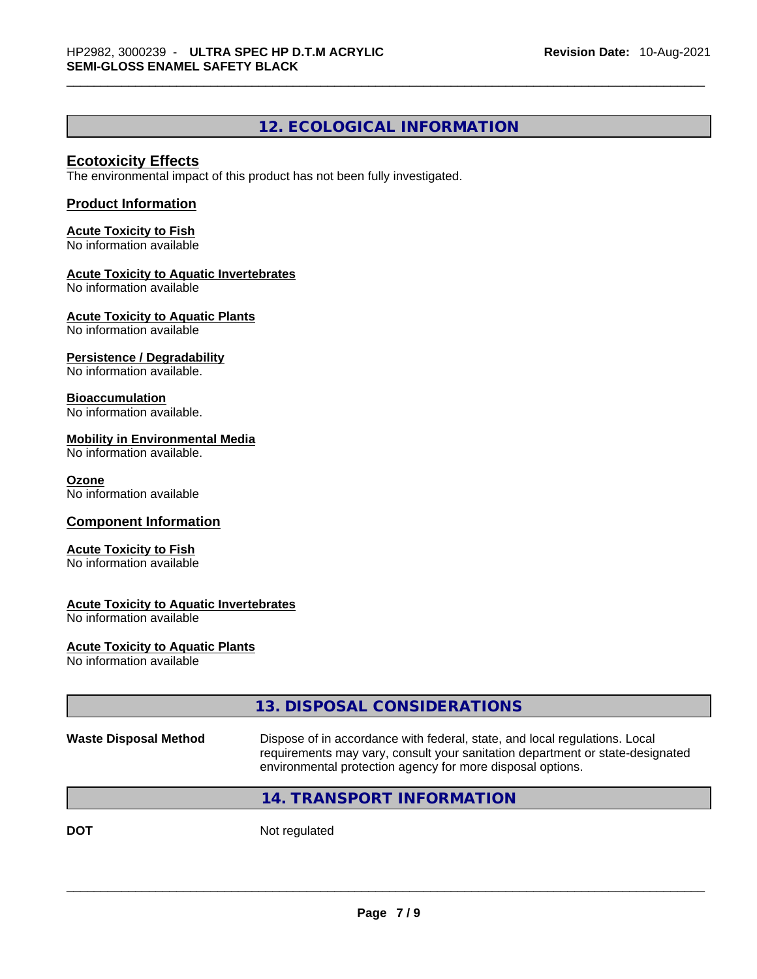# **12. ECOLOGICAL INFORMATION**

#### **Ecotoxicity Effects**

The environmental impact of this product has not been fully investigated.

#### **Product Information**

**Acute Toxicity to Fish** No information available

#### **Acute Toxicity to Aquatic Invertebrates**

No information available

**Acute Toxicity to Aquatic Plants** No information available

#### **Persistence / Degradability**

No information available.

#### **Bioaccumulation**

No information available.

#### **Mobility in Environmental Media**

No information available.

#### **Ozone**

No information available

#### **Component Information**

#### **Acute Toxicity to Fish**

No information available

### **Acute Toxicity to Aquatic Invertebrates**

No information available

#### **Acute Toxicity to Aquatic Plants**

No information available

# **13. DISPOSAL CONSIDERATIONS**

**Waste Disposal Method** Dispose of in accordance with federal, state, and local regulations. Local requirements may vary, consult your sanitation department or state-designated environmental protection agency for more disposal options.

### **14. TRANSPORT INFORMATION**

**DOT** Not regulated  $\blacksquare$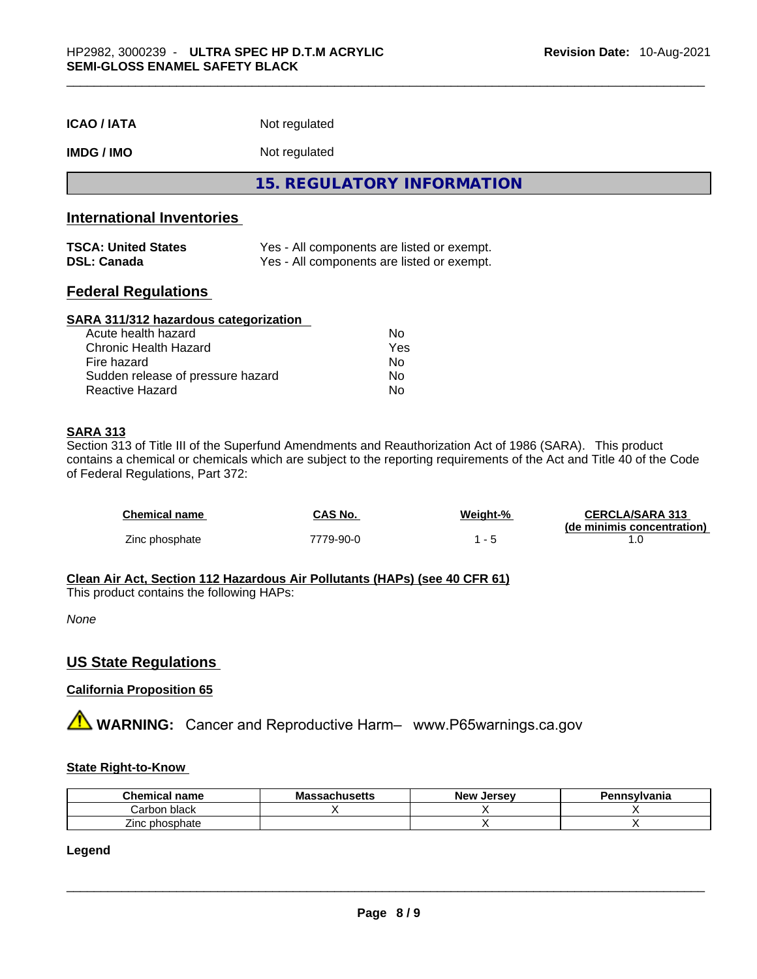| <b>ICAO / IATA</b> | Not regulated |
|--------------------|---------------|
|--------------------|---------------|

**IMDG / IMO** Not regulated

**15. REGULATORY INFORMATION** 

#### **International Inventories**

| <b>TSCA: United States</b> | Yes - All components are listed or exempt. |
|----------------------------|--------------------------------------------|
| <b>DSL: Canada</b>         | Yes - All components are listed or exempt. |

#### **Federal Regulations**

#### **SARA 311/312 hazardous categorization**

| Acute health hazard               | No. |  |
|-----------------------------------|-----|--|
| Chronic Health Hazard             | Yes |  |
| Fire hazard                       | No. |  |
| Sudden release of pressure hazard | No. |  |
| Reactive Hazard                   | Nο  |  |

#### **SARA 313**

Section 313 of Title III of the Superfund Amendments and Reauthorization Act of 1986 (SARA). This product contains a chemical or chemicals which are subject to the reporting requirements of the Act and Title 40 of the Code of Federal Regulations, Part 372:

| Chemical name  | CAS No.   | Weight-% | <b>CERCLA/SARA 313</b>     |
|----------------|-----------|----------|----------------------------|
| Zinc phosphate | 7779-90-0 |          | (de minimis concentration) |

**Clean Air Act,Section 112 Hazardous Air Pollutants (HAPs) (see 40 CFR 61)**

This product contains the following HAPs:

*None*

#### **US State Regulations**

#### **California Proposition 65**

**A** WARNING: Cancer and Reproductive Harm– www.P65warnings.ca.gov

#### **State Right-to-Know**

| <b>Chemical</b><br>name | Mas<br>achusetts | . Jersev<br>New | <b>Pennsylvania</b> |
|-------------------------|------------------|-----------------|---------------------|
| Carbon black            |                  |                 |                     |
| phosphate<br>∠inc∴      |                  |                 |                     |

**Legend**